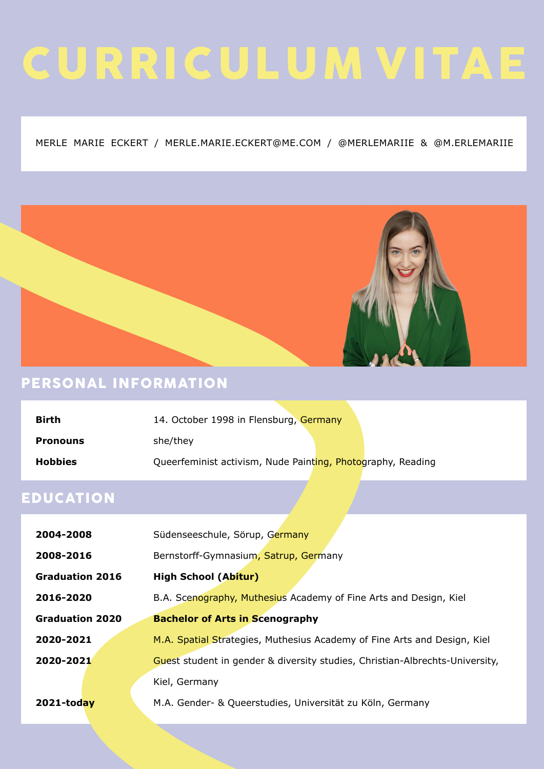# CURRICULUM VITAE

#### MERLE MARIE ECKERT / MERLE.MARIE.ECKERT@ME.COM / @MERLEMARIIE & @M.ERLEMARIIE



#### PERSONAL INFORMATION

| <b>Birth</b>    | 14. October 1998 in Flensburg, Germany                      |  |
|-----------------|-------------------------------------------------------------|--|
| <b>Pronouns</b> | she/they                                                    |  |
| <b>Hobbies</b>  | Queerfeminist activism, Nude Painting, Photography, Reading |  |

#### EDUCATION

| 2004-2008              | Südenseeschule, Sörup, Germany                                               |
|------------------------|------------------------------------------------------------------------------|
| 2008-2016              | Bernstorff-Gymnasium, Satrup, Germany                                        |
| <b>Graduation 2016</b> | <b>High School (Abitur)</b>                                                  |
| 2016-2020              | B.A. Scenography, Muthesius Academy of Fine Arts and Design, Kiel            |
| <b>Graduation 2020</b> | <b>Bachelor of Arts in Scenography</b>                                       |
| 2020-2021              | M.A. Spatial Strategies, Muthesius Academy of Fine Arts and Design, Kiel     |
| 2020-2021              | Guest student in gender & diversity studies, Christian-Albrechts-University, |
|                        | Kiel, Germany                                                                |
| 2021-today             | M.A. Gender- & Queerstudies, Universität zu Köln, Germany                    |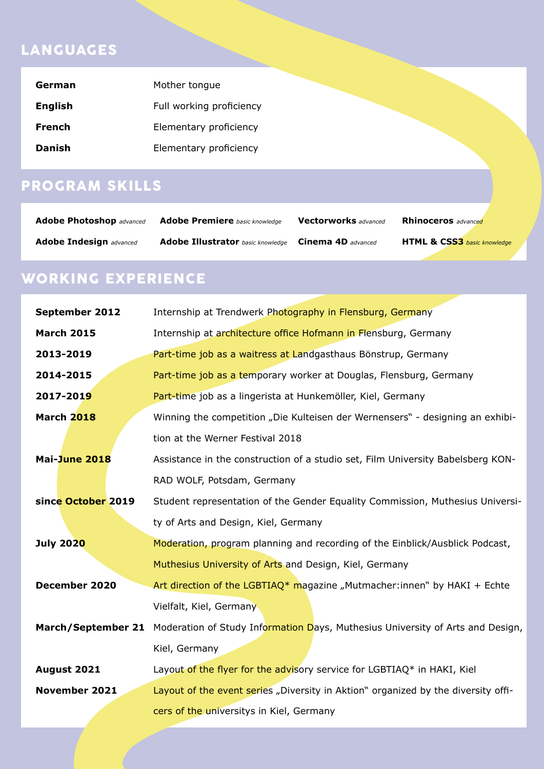#### LANGUAGES

| German         | Mother tongue            |
|----------------|--------------------------|
| <b>English</b> | Full working proficiency |
| <b>French</b>  | Elementary proficiency   |
| <b>Danish</b>  | Elementary proficiency   |

## PROGRAM SKILLS

| <b>Adobe Photoshop</b> advanced | <b>Adobe Premiere</b> basic knowledge    | <b>Vectorworks</b> advanced | <b>Rhinoceros</b> advanced             |
|---------------------------------|------------------------------------------|-----------------------------|----------------------------------------|
| <b>Adobe Indesign advanced</b>  | <b>Adobe Illustrator</b> basic knowledge | <b>Cinema 4D</b> advanced   | <b>HTML &amp; CSS3</b> basic knowledge |

## WORKING EXPERIENCE

| <b>September 2012</b>     | Internship at Trendwerk Photography in Flensburg, Germany                         |
|---------------------------|-----------------------------------------------------------------------------------|
| <b>March 2015</b>         | Internship at architecture office Hofmann in Flensburg, Germany                   |
| 2013-2019                 | Part-time job as a waitress at Landgasthaus Bönstrup, Germany                     |
| 2014-2015                 | Part-time job as a temporary worker at Douglas, Flensburg, Germany                |
| 2017-2019                 | Part-time job as a lingerista at Hunkemöller, Kiel, Germany                       |
| <b>March 2018</b>         | Winning the competition "Die Kulteisen der Wernensers" - designing an exhibi-     |
|                           | tion at the Werner Festival 2018                                                  |
| Mai-June 2018             | Assistance in the construction of a studio set, Film University Babelsberg KON-   |
|                           | RAD WOLF, Potsdam, Germany                                                        |
| since October 2019        | Student representation of the Gender Equality Commission, Muthesius Universi-     |
|                           | ty of Arts and Design, Kiel, Germany                                              |
| <b>July 2020</b>          | Moderation, program planning and recording of the Einblick/Ausblick Podcast,      |
|                           | Muthesius University of Arts and Design, Kiel, Germany                            |
| December 2020             | Art direction of the LGBTIAQ* magazine "Mutmacher: innen" by HAKI + Echte         |
|                           | Vielfalt, Kiel, Germany                                                           |
| <b>March/September 21</b> | Moderation of Study Information Days, Muthesius University of Arts and Design,    |
|                           | Kiel, Germany                                                                     |
| August 2021               | Layout of the flyer for the advisory service for LGBTIAQ* in HAKI, Kiel           |
| <b>November 2021</b>      | Layout of the event series "Diversity in Aktion" organized by the diversity offi- |
|                           | cers of the universitys in Kiel, Germany                                          |
|                           |                                                                                   |